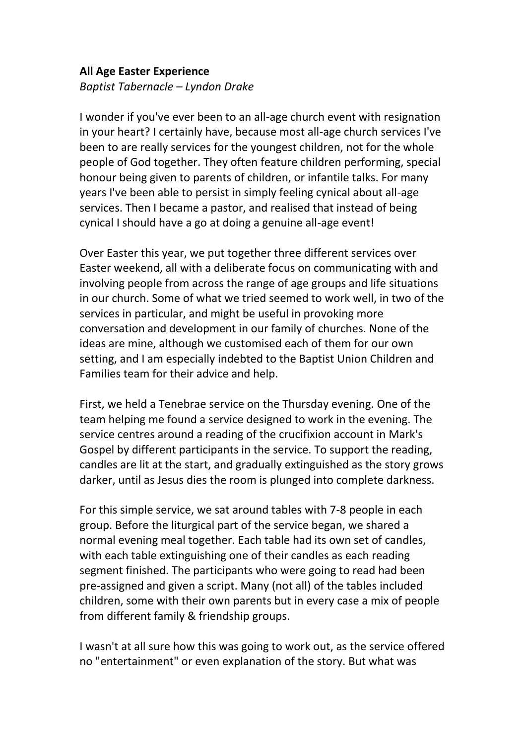## **All Age Easter Experience**

*Baptist Tabernacle – Lyndon Drake*

I wonder if you've ever been to an all-age church event with resignation in your heart? I certainly have, because most all-age church services I've been to are really services for the youngest children, not for the whole people of God together. They often feature children performing, special honour being given to parents of children, or infantile talks. For many years I've been able to persist in simply feeling cynical about all-age services. Then I became a pastor, and realised that instead of being cynical I should have a go at doing a genuine all-age event!

Over Easter this year, we put together three different services over Easter weekend, all with a deliberate focus on communicating with and involving people from across the range of age groups and life situations in our church. Some of what we tried seemed to work well, in two of the services in particular, and might be useful in provoking more conversation and development in our family of churches. None of the ideas are mine, although we customised each of them for our own setting, and I am especially indebted to the Baptist Union Children and Families team for their advice and help.

First, we held a Tenebrae service on the Thursday evening. One of the team helping me found a service designed to work in the evening. The service centres around a reading of the crucifixion account in Mark's Gospel by different participants in the service. To support the reading, candles are lit at the start, and gradually extinguished as the story grows darker, until as Jesus dies the room is plunged into complete darkness.

For this simple service, we sat around tables with 7-8 people in each group. Before the liturgical part of the service began, we shared a normal evening meal together. Each table had its own set of candles, with each table extinguishing one of their candles as each reading segment finished. The participants who were going to read had been pre-assigned and given a script. Many (not all) of the tables included children, some with their own parents but in every case a mix of people from different family & friendship groups.

I wasn't at all sure how this was going to work out, as the service offered no "entertainment" or even explanation of the story. But what was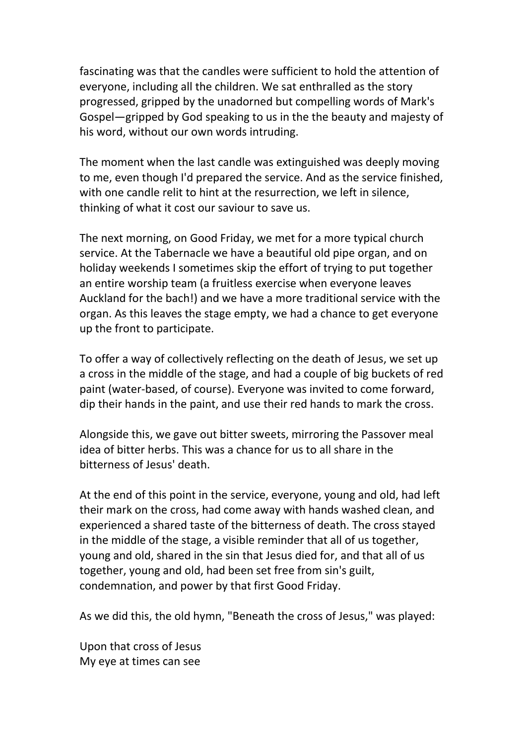fascinating was that the candles were sufficient to hold the attention of everyone, including all the children. We sat enthralled as the story progressed, gripped by the unadorned but compelling words of Mark's Gospel—gripped by God speaking to us in the the beauty and majesty of his word, without our own words intruding.

The moment when the last candle was extinguished was deeply moving to me, even though I'd prepared the service. And as the service finished, with one candle relit to hint at the resurrection, we left in silence, thinking of what it cost our saviour to save us.

The next morning, on Good Friday, we met for a more typical church service. At the Tabernacle we have a beautiful old pipe organ, and on holiday weekends I sometimes skip the effort of trying to put together an entire worship team (a fruitless exercise when everyone leaves Auckland for the bach!) and we have a more traditional service with the organ. As this leaves the stage empty, we had a chance to get everyone up the front to participate.

To offer a way of collectively reflecting on the death of Jesus, we set up a cross in the middle of the stage, and had a couple of big buckets of red paint (water-based, of course). Everyone was invited to come forward, dip their hands in the paint, and use their red hands to mark the cross.

Alongside this, we gave out bitter sweets, mirroring the Passover meal idea of bitter herbs. This was a chance for us to all share in the bitterness of Jesus' death.

At the end of this point in the service, everyone, young and old, had left their mark on the cross, had come away with hands washed clean, and experienced a shared taste of the bitterness of death. The cross stayed in the middle of the stage, a visible reminder that all of us together, young and old, shared in the sin that Jesus died for, and that all of us together, young and old, had been set free from sin's guilt, condemnation, and power by that first Good Friday.

As we did this, the old hymn, "Beneath the cross of Jesus," was played:

Upon that cross of Jesus My eye at times can see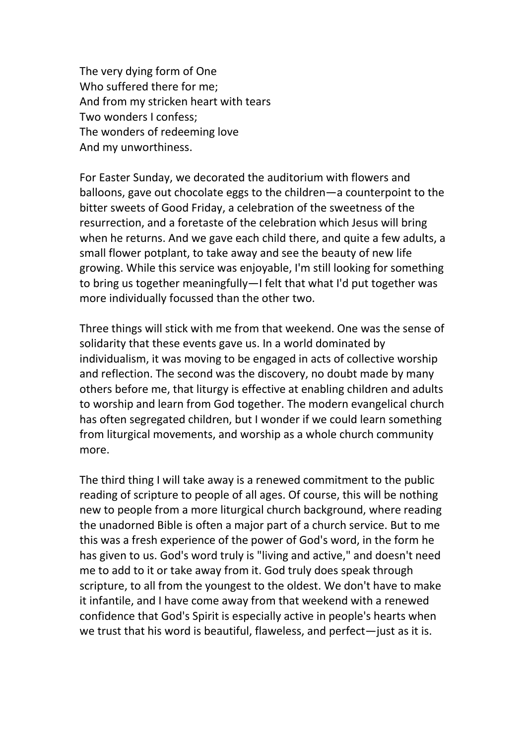The very dying form of One Who suffered there for me; And from my stricken heart with tears Two wonders I confess; The wonders of redeeming love And my unworthiness.

For Easter Sunday, we decorated the auditorium with flowers and balloons, gave out chocolate eggs to the children—a counterpoint to the bitter sweets of Good Friday, a celebration of the sweetness of the resurrection, and a foretaste of the celebration which Jesus will bring when he returns. And we gave each child there, and quite a few adults, a small flower potplant, to take away and see the beauty of new life growing. While this service was enjoyable, I'm still looking for something to bring us together meaningfully—I felt that what I'd put together was more individually focussed than the other two.

Three things will stick with me from that weekend. One was the sense of solidarity that these events gave us. In a world dominated by individualism, it was moving to be engaged in acts of collective worship and reflection. The second was the discovery, no doubt made by many others before me, that liturgy is effective at enabling children and adults to worship and learn from God together. The modern evangelical church has often segregated children, but I wonder if we could learn something from liturgical movements, and worship as a whole church community more.

The third thing I will take away is a renewed commitment to the public reading of scripture to people of all ages. Of course, this will be nothing new to people from a more liturgical church background, where reading the unadorned Bible is often a major part of a church service. But to me this was a fresh experience of the power of God's word, in the form he has given to us. God's word truly is "living and active," and doesn't need me to add to it or take away from it. God truly does speak through scripture, to all from the youngest to the oldest. We don't have to make it infantile, and I have come away from that weekend with a renewed confidence that God's Spirit is especially active in people's hearts when we trust that his word is beautiful, flaweless, and perfect—just as it is.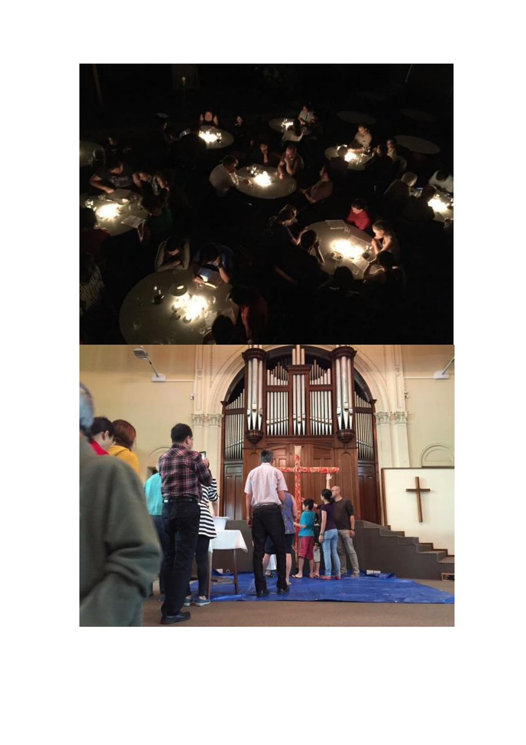